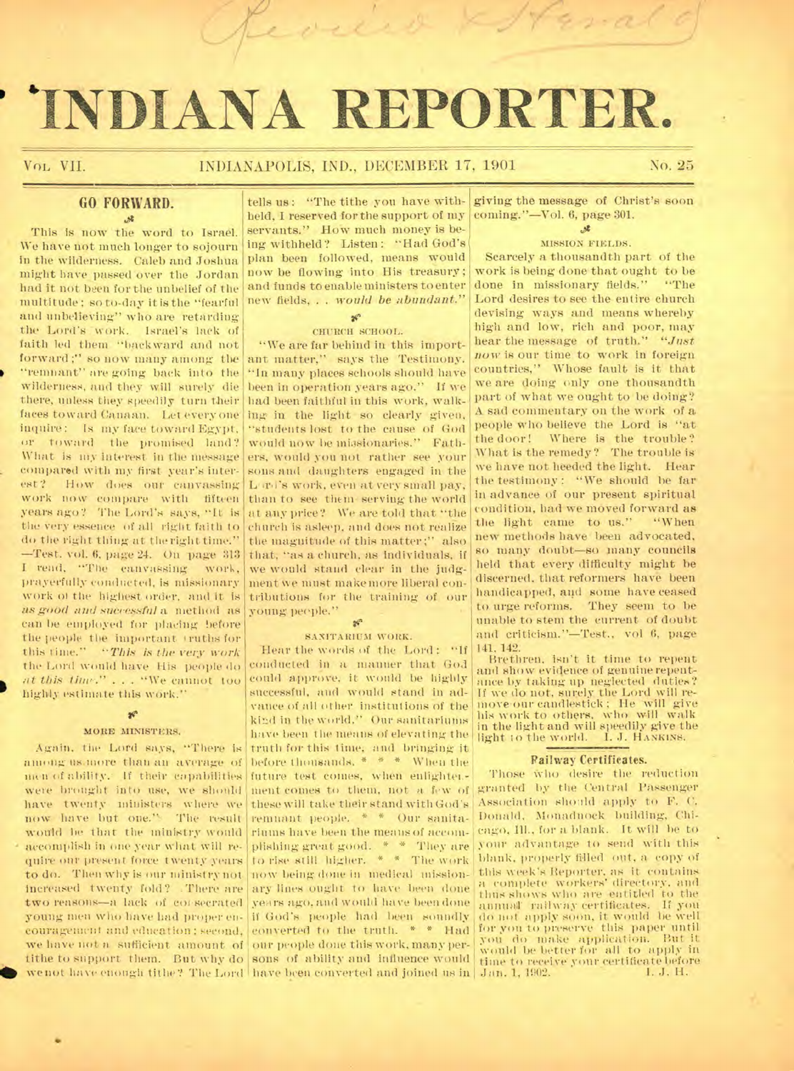# 'INDIANA **REPORTER.**

evens

### Vol. VII. INDIANAPOLIS, IND., DECEMBER 17, 1901 No. 25

### **GO FORWARD.**   $34.$

This is now the word to Israel. We have not much longer to sojourn in the wilderness. Caleb and Joshua might have passed over the Jordan had it not been for the unbelief of the multitude; so to-day it is the "fearful and unbelieving" who are retarding the Lord's work. Israel's lack of faith led them "backward and not forward ;" so now many among the "remnant" are going back into the wilderness, and they will surely die there, unless they speedily turn their faces toward Canaan. Let everyone inquire: Is my face toward Egypt, or toward the promised land? What is my interest in the message compared with my first year's interest? How does our canvassing work now Compare with fifteen years ago? The Lord's says, "It is the very essence of all right faith to do the right thing at time right time." —Test. vol. 6, page 24. On page 313 I read, "The canvassing work, prayerfully conducted, is missionary work 01 the highest order, and it is *as good and sueressful* a method as can be employed for placing before the people the important truths for this time." *"This is the very work*  the Lord would have His people do *at this tina-." . . .* "We cannot too highly estimate this work."

### $\mathcal{C}$ • MORE MINISTERS.

Again, the Lord says, "There is among us more than an average of men of ability. If their capabilities were brought into use, we should have twenty ministers where we now have but one." The result would be that the ministry would accomplish in one year what will require our present force twenty years to do. Then why is our ministry not increased twenty fold? .There are we have not a sufficient amount of our people done this work, many per-

•

tells us: "The tithe you have withheld, I reserved for the support of my servants." How much money is being withheld? Listen: "Had God's plan been followed, means would now be flowing into His treasury; and funds to enable ministers to enter new fields, . . *would be abundant."* 

### $\mathbf{x}^{\mathrm{o}}$ CHURCH SCHOOL.

"We are far behind in this important matter," says the Testimony. "In many places schools should have been in operation years ago." If we had been faithful in this work, walking in the light so clearly given, "students lost to the cause of God would now be missionaries." Fathers, would you not rather see your sons and daughters engaged in the L:rd's work, even at very small pay, than to see them serving the world at any price? We are told that "the church is asleep, and does not realize the magnitude of this matter:" also that, "as a church, as individuals, if we would stand clear in the judgment we must make more liberal contributions for the training of our young people."

### $\mathbf{s}^{\alpha}$

### SANITARIUM WORK.

two reasons—a lack of covsecrated years ago, and would have been done young men who have had proper en- if God's people had been soundly couragement and education; second, converted to the truth. \* \* Had we not have enough tithe? The Lord have been converted and joined us in Jan. 1, 1902. I. J. H. Hear the words of the Lord: "If conducted in a manner that God could approve, it would be highly successful, and would stand in advance of all other institutions of the kind in the world." Our sanitariums have been the means of elevating the truth for this time, and bringing it before thousands. \* \* \* When the future test comes, when enlightenment comes to them, not a few of these will take their stand with God's remnant people. \* \* Our sanitariums have been the means of accomplishing great good. \* \* They are to rise still higher. \* \* The wOrk now being done in medical missionary lines ought to have been done

giving the message of Christ's soon coming."—Vol. 6, page 301.

### $x^2$

### MISSION FIELDS.

Scarcely a thousandth part of the work is being done that-ought to be done in missionary fields." "The Lord desires to see the entire church devising ways and means whereby high and low, rich and poor, may hear the message of truth." *"Just now* is our time to work in foreign countries," Whose fault is it that we are doing only one thousandth part of what we ought to be doing? A sad commentary on the work of a people who believe the Lord is "at the door! Where is the trouble? What is the remedy? The trouble is we have not heeded the light. Hear the testimony : "We should be far in advance of our present spiritual condition, had we moved forward as the light came to us." "When new methods have been advocated, so many doubt—so many councils held that every difficulty might be discerned, that reformers have been handicapped, and some have ceased to urge reforms. They seem to be unable to stem the current of doubt and criticism."—Test., vol 6, page 141. 142.

Brethren, isn't it time to repent and show evidence of genuine repentance by taking up neglected duties? If we do not, surely the Lord will remove-our candlestick ; He will give his work to others, who will walk in the light and will speedily give the light to the world. I. J. HANKINS.

#### Railway Certificates.

tithe to support them. But why do sons of ability and influence would  $\lim_{t \to \infty}$  to receive your certificate before Those who desire the reduction granted by the Central Passenger Association shoilld apply to F. C. Donald, NIonadnock building, Chicago, Ill., for a blank. It will he to our advantage to send with this blank, properly filled out, a, copy of this week's Reporter, as it contains a complete workers' directory, and thus shows who are entitled to the annual railway certificates. If you do not apply soon, it would be well for you to preserve this paper until you do make application. But it would be better for all to apply in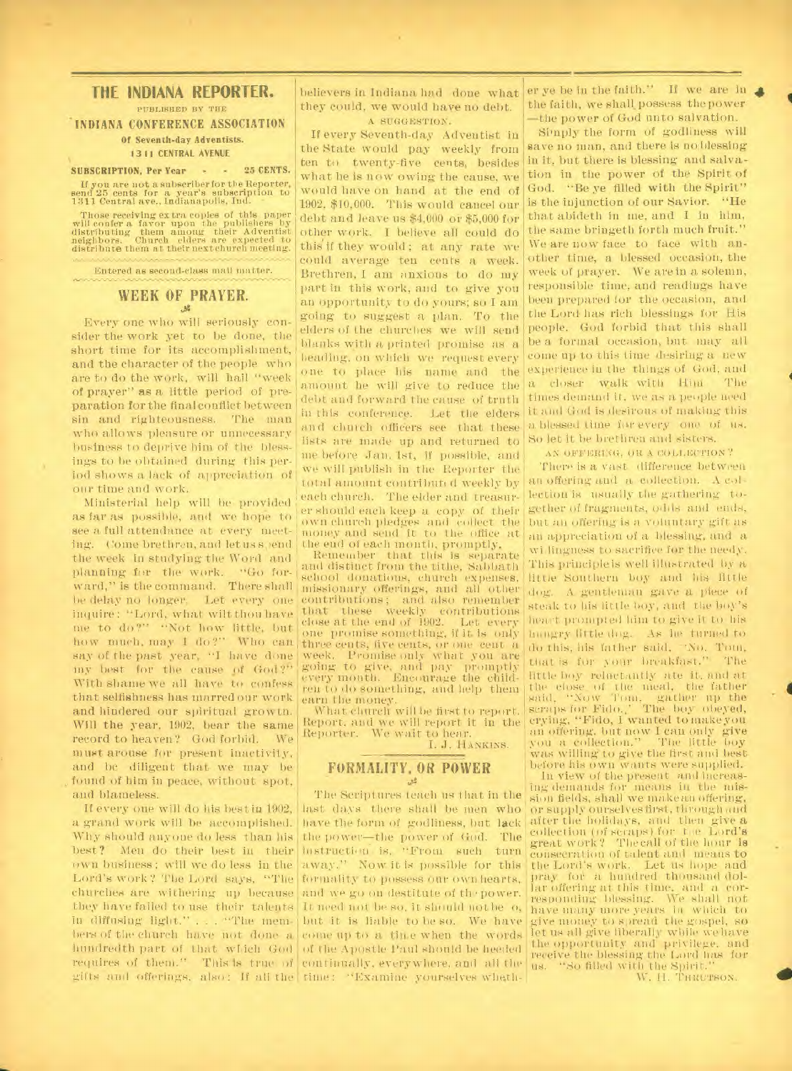### **THE INDIANA REPORTER.**

### PUBLISHED BY THE **INDIANA CONFERENCE ASSOCIATION Of Seventh-day Adventists.**

**13 11 CENTRAL AVENUE** 

**SUBSCRIPTION, Per Year • -** 25 **CENTS.**  If you are not a subscriber for the Reporter, send 25 cents for a year's subscription to 1311 Central ave., Indianapolis, Ind.

Those receiving extra copies of this paper will confer a favor upon the publishers by distributing them among their Adventist neighbors. Church elders are expected to distribute them at their next church meeting.

Entered as second-class mail matter.

## **WEEK OF PRAYER.**

ings to be obtained during this per-<br>iod shows a lack of appreciation of Every one who will seriously consider the work yet to be done, the short time for its accomplishment, and the character of the people who are to do the work, will hail "week of prayer" as a little period of preparation for the final conflict between sin and righteousness. The man who allows pleasure or unnecessary business to deprive hint of the bless-

inquire: "Lord, what wilt thou have that these weekly contributions me to do?" "Not how little, but how much, may 1 do?" Who can three cents, five cents, or one cent a<br>say of the past year, "I have done week. Promise only what you are say of the past year, "I have done<br>my best for the cause of God?" With shame we all have to confess renty month, Encourage the child-<br>that selfishness has marred our work earn the money, that selfishness has marred our work earn the money.<br>and hindered our spiritual growth. What church will be first to report. and hindered our spiritual growth. Will the year, 1902, bear the same record to heaven? God forbid. We must arouse for present inactivity, and be diligent that we may be found of him in peace, without spot, and blameless. as far as possible, and we hope to see a full attendance at every meeting. Come brethren, and let us spend the week in studying the Word and planning for the work. "Go forward," is the command. There shall be delay no longer. Let every one

If every one will do his best in 1902, a grand work will be accomplished. Why should anyone do less than his best? Men do their best in their Lord's work? The Lord says, "The formality to possess our own hearts,<br>churches are withering up because and we go on destitute of the power. churches are withering up because they have failed to use their talents It need not be so, it should not be o. in diffusing light." . . . "The mem- but it is liable to be so. We have hers of the church have not done a come up to a time when the words hundredth part of that witch God of the Apostle Paul should be heeded requires of them." This is true of continually, everywhere, and all the  $\frac{1}{188}$ . "So filled with the Spirit."

believers in Indiana had done what they could, we would have no debt. A SUGGESTION.

If every Seventh-day Adventist iu the State would pay weekly from ten to twenty-five cents, besides what he is now owing the cause, we would have on hand at the end of 1902, \$10,000. This would cancel our debt and leave us \$4,000 or \$5,000 for other work. I believe all could do this'if they would; at any rate we could average ten cents a week. Brethren, I am anxious to do my part in this work, and to give you an opportunity to do yours; so I am going to suggest a plan. To the elders of the churches we will send blanks with a printed promise as a heading, on which we request every one to place his name and the amount he will give to reduce the debt and forward the cause of truth in this conference. Let the elders and church officers see that these lists are made up and returned to me before Jan. 1st, if possible, and we will publish in the Reporter the total amount contributed weekly by<br>our time and work. <br>Ministerial help will be provided each church. The elder and treasureach church. The elder and treasurer should each keep a copy of their own church pledges and collect the money and send it to the office at the end of each month, promptly.

Remember that this is separate and distinct from the tithe, Sabbath school donations, church expenses, missionary offerings, and all other contributions; and also remember one promise something, if it is only my best for the cause of God?" going to give, and pay promptly<br>With shame we all have to confess every month. Encourage the child-

> Report, and we will report it in the<br>Reporter. We wait to hear. We wait to hear.

I. J. HANKINS.

### **FORMALITY, OR POWER**

away." Now it is possible for this formality to possess our own hearts. gifts and offerings, also: If all the time: "Examine yourselves wheth-The Scriptures teach us that in the last days there shall be men who have the form of godliness, but lack the power—the power of God. The instruction is, "From such turn

er ye be in the faith." If we are in  $\triangle$ the faith, we shall possess the power —the power of God unto salvation.

Simply the form of godliness will save no man, and there is no blessing in it, but there is blessing and salvation in the power of the Spirit of God. "Be ye filled with the Spirit" is the injunction of our Savior. "He that abideth in me, and I in him, the same bringeth forth much fruit." We are now face to face with another time, a blessed occasion, the week of prayer. We are in a solemn, responsible time, and readings have been prepared for the occasion, and the Lord has rich blessings for His people. God forbid that this shall be a formal occasion, but may all come up to this time desiring a new experience iu the things of God, and a closer walk with Him The times demand it, we as a people need it and God is desirous of making this a blessed time for every one of us. So let it be brethren and sisters.

AN OFFERIMI, OR A COLLECTION?

There is a vast difference between an offering and a collection. A collection is usually the gathering together of fragments, odds and ends, but an offering is a voluntary gift as an appreciation of a blessing, and a willingness to sacrifice for the needy. This principle is well illustrated by a little Southern boy and his little dog. A gentleman gave a piece of steak to his little hoy, and the boy's heart prompted hint to give it, to his Mingo' little dog. As lie turned to do this, his father said, "No. Tom, that is for your breakfast." The little boy reluctantly ate it, and at the close of the meal, the father<br>said, "Now Tom, gather up the<br>scraps for Fido.." The boy obeyed,<br>crying, "Fido, I wanted to makeyou an offering, but now I can only give you a collection." The little boy was willing to give the first and best before his own wants were supplied.

In view of the present and increasing demands for means in the mission fields, shall we makean offering, or supply ourselves first. through and after the holidays, and then give a collection (of scraps) for the Lord's great work ? The call of the hour is consecration of talent and means to<br>the Lord's work. Let us hope and the Lord's work. Let us hope and pray for a hundred thousand dollar offering at this time, and a cor-responding blessing. We shall not have many more years in which to give money to spread the gospel, so let us all give liberally while we have the opportunity and privilege, and receive the blessing the Lord has for us. "So filled with the Spirit." W. H. Thuerson.

**4**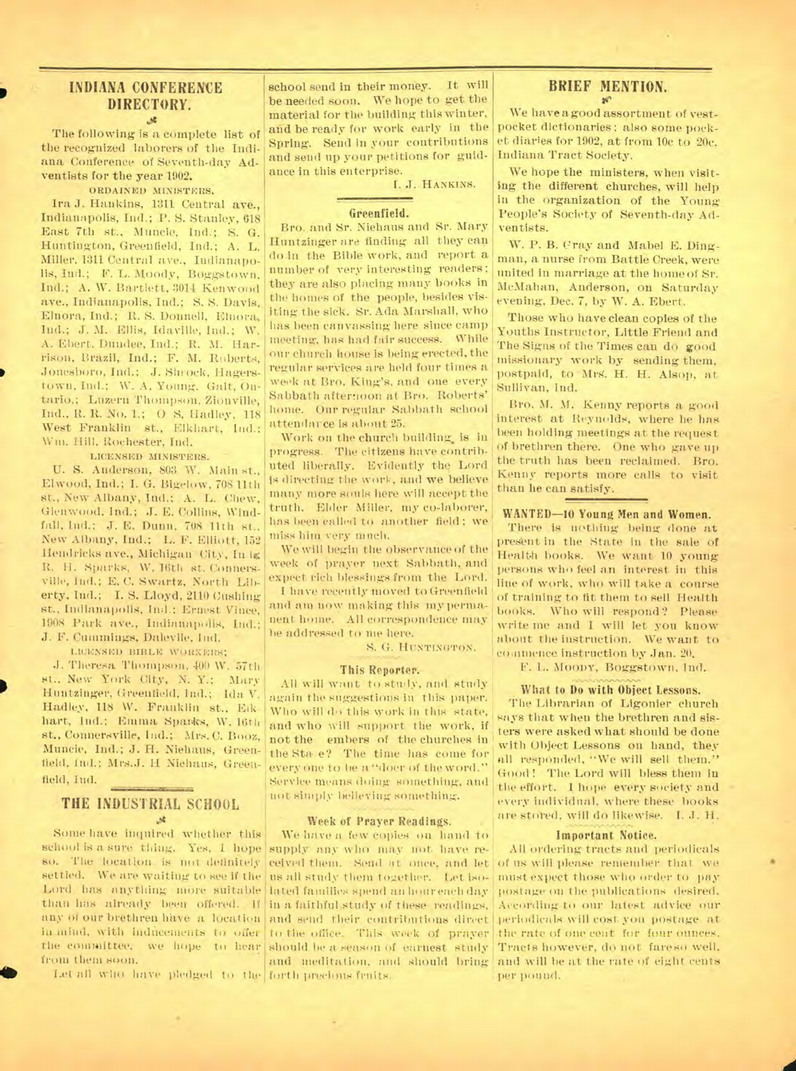### **INDIANA CONFERENCE DIRECTORY.**   $\mathcal{A}$

The following is a complete list of the recognized laborers of the Indiana Conference of Seventh-day Adventists for the year 1902.

ORDAINED MINISTERS.

Ira J. Hankins, 1311 Central ave., Indianapolis, Ind.; P. S. Stanley, 618 East 7th st., Muncie, Ind.; S. G. Huntington, Greenfield, Ind.; A. L. Miller. 1311 Central ave., Indianapolis, Ind.; F. L. Moody, Boggstown, Ind.; A. W. Bartlett, 3014 Kenwood ave., Indianapolis, Ind.; S. S. Davis, Elnora, Ind.; R. S. Donnell, Elnora, Ind.; J. M. Ellis, Idaville, Ind.; W. A. Ebert. Dundee, Ind.; R. M. Harrison, Brazil, Ind.; F. M. Roberts, Jonesboro, Ind.; J. Shrock, Hagerstown, Ind.; W. A. Young. Galt. Ontario,; Luzern Thompson, Zionville, Ind., R. R. No. 1.; O S, Hadley, 118 West Franklin st., Elkhart, Ind.; Wm. Hill, Rochester, Ind.

LICENSED MINISTERS.

U. S. Anderson, 803 W. Main st., Elwood, Ind.; I. G. Bigelow, 70811th st., New Albany, Ind.; A. L. Chew, Glenwood, Ind.; J. E. Collins, Windfall, lnd.; J. E. Dunn, 708 11th st., New Albany, Ind.; L. F. Elliott, 152 Hendricks ave., Michigan City, In La R. H. Sparks, W. 16th st. Connersville, Ind.; E. C. Swartz, North Liberty, Ind.; I. S. Lloyd, 2110 Cushing st., Indianapolis, Ind.; Ernest Vince, 1908 Park ave., Indianapolis, Ind.; J. F. Cummings, Dalevile, Ind.

LICENSICD BIBLE WORKERS;

J. Theresa Thompson, 400 W. 57th st., New York City, N. Y.; Mary Huntzinger, Greenfield, Ind.; Ida V. Hadley. 118 W. Franklin st., Elkhart, lad.; Emma Spar4cs, W. 16th st., Connersville, Ind.; Mrs. C. Booz, Muncie, Ind.; J. H. Niehaus, Greenfield, Ind.; Mrs.J. H Niehaus, Greenfield, Ind.

### **- THE INDUSTRIAL SCHOOL**   $32.$

Some have inquired whether this school is a sure thing. Yes, I hope supply any who may not have reso. The location is not definitely ceived them. Send at once, and let settled. We are waiting to see if the us all study them together. Let iso-Lord has anything more suitable lated families spend an lomreach day than has already been offered. If in a faithful-study of these readings, any of our brethren have a location and send their contributions direct in mind, with inducements to offer to the office. This week of prayer the committee, we hope to hear should be a season of earnest study from theni soon.

**the let all who have pledged to the forth precious fruits.** 

 $\sim$ 

school send in their money. It will be needed soon. We hope to get the material for the building this winter, and be ready for work early in the Spring. Send in your contributions and send up your petitions for guidance in this enterprise.

I. J. HANKINS.

#### Greenfield.

Bro. and Sr. Niehaus and Sr. Mary Huntzinger are finding all they cap do in the Bible work, and report a number of very interesting readers; they are also placing many books in the homes of the people, besides visiting the sick. Sr. Ada Marshall, who has been canvassing here since camp meeting, has had fair success. While our church house is being erected, the regular services are held four times a week at Bro. King's. and one every Sabbath afternoon at Bro. Roberts' home. Our regular Sabbath school attendarce is about 25.

Work on the church building. is in progress. The citizens have contributed liberally. Evidently the Lord is directing the work, and we believe many more souls here will accept the truth. Elder Miller. my co-laborer, has been called to another field; we miss him very much.

We will begin the observance of the week of prayer next Sabbath, and expect rich blessings from the Lord.

I have recently moved to Greenfield and am now making this my permanent home. All correspondence may be addressed to me here.

S. G. HUNTINGTON.

### This Reporter.

All will want to study, and study again the suggestions in this paper. Who will do this work in this state. and who will support the work, if not the embers of the churches in the Sta e? The time has come for every one to be a "doer of the word." Service means doing something, and not simply believing something.

#### Week of Prayer Readings.

We have a few copies on hand to and meditation, and should bring

### **BRIEF MENTION.**

We have agood assortment of vestpocket dictionaries ; also some pocket diaries for 1902, at from 10c to 20e. Indiana Tract Society.

We hope the ministers, when visiting the different churches, will help in the organization of the Young People's Society of Seventh-day Adventists.

W. P. B. Cray and Mabel E. Dingman, a nurse from Battle Creek, were united in marriage at the home of Sr. McMahan, Anderson, on Saturday evening, Dec. 7, by W. A. Ebert.

Those who have clean copies of the Youths Instructor, Little Friend and The Signs of the Times can do good missionary work by sending them, postpaid, to Mrs. H. H. Alsop, at Sullivan, Ind.

Bro. M. M. Kenny reports a good interest at Reynolds, where he has been holding meetings at the request of brethren there. One who gave up the truth has been reclaimed. Bro. Kenny reports more calls to visit than he can satisfy.

### WANTED-10 Young Men and Women.

There is nothing being done at present in the State in the sale of Health books. We Want 10. young persons who feel an interest in this line of work, who will take a course of training to fit them to sell Health books. Who will respond? Please write me and I will let you know about the instruction. We want to commence instruction by Jan. 20.

F. L. MOODY, Boggstown, Ind.

#### What to Do with Object Lessons.

The Librarian of Ligonier church says that when the brethren and sisters were asked what should be done with Object Lessons on hand, they all responded, "We will sell them." Good! The Lord will bless them in the effort. 1 hope every society and every individual, where these books are stored, will do likewise. I. J. H.

### Important Notice.

All ordering tracts and periodicals of us will please remember that we must expect those who order to pay postage on the publications desired. According•to our latest advice our periodicals will cost you postage at the rate of one cent for four ounces. Tracts however, do not fareso well, and will be at the rate of eight cents per pound.